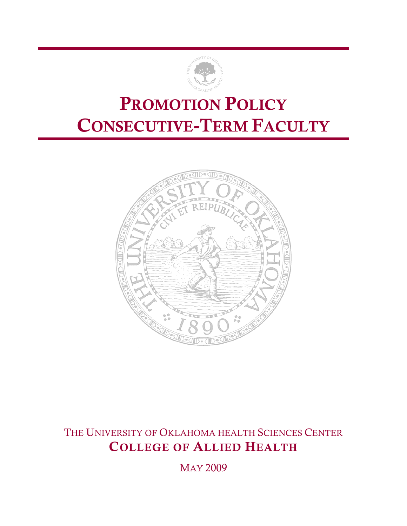

## PROMOTION POLICY CONSECUTIVE-TERM FACULTY



THE UNIVERSITY OF OKLAHOMA HEALTH SCIENCES CENTER COLLEGE OF ALLIED HEALTH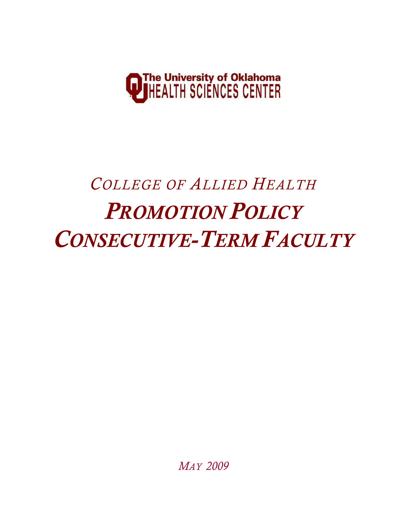

# *COLLEGE OF ALLIED HEALTH PROMOTION POLICY CONSECUTIVE-TERM FACULTY*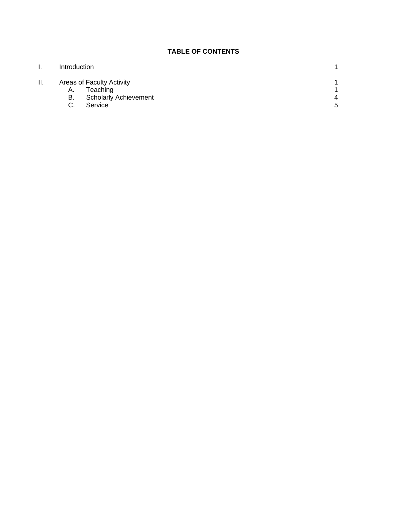### **TABLE OF CONTENTS**

| ι.  | Introduction |                              |   |
|-----|--------------|------------------------------|---|
| ΙΙ. |              | Areas of Faculty Activity    |   |
|     | А.           | Teaching                     |   |
|     | В.           | <b>Scholarly Achievement</b> |   |
|     |              | Service                      | 5 |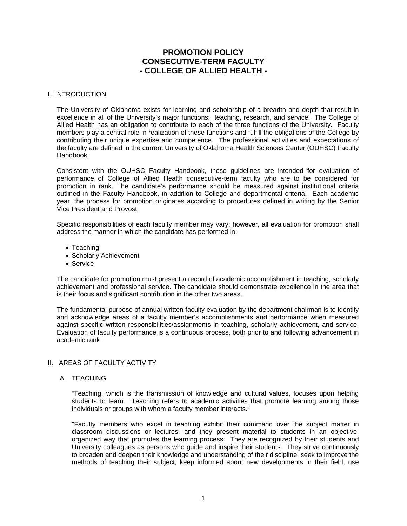### **PROMOTION POLICY CONSECUTIVE-TERM FACULTY - COLLEGE OF ALLIED HEALTH -**

### I. INTRODUCTION

The University of Oklahoma exists for learning and scholarship of a breadth and depth that result in excellence in all of the University's major functions: teaching, research, and service. The College of Allied Health has an obligation to contribute to each of the three functions of the University. Faculty members play a central role in realization of these functions and fulfill the obligations of the College by contributing their unique expertise and competence. The professional activities and expectations of the faculty are defined in the current University of Oklahoma Health Sciences Center (OUHSC) Faculty Handbook.

Consistent with the OUHSC Faculty Handbook, these guidelines are intended for evaluation of performance of College of Allied Health consecutive-term faculty who are to be considered for promotion in rank. The candidate's performance should be measured against institutional criteria outlined in the Faculty Handbook, in addition to College and departmental criteria. Each academic year, the process for promotion originates according to procedures defined in writing by the Senior Vice President and Provost.

Specific responsibilities of each faculty member may vary; however, all evaluation for promotion shall address the manner in which the candidate has performed in:

- Teaching
- Scholarly Achievement
- Service

The candidate for promotion must present a record of academic accomplishment in teaching, scholarly achievement and professional service. The candidate should demonstrate excellence in the area that is their focus and significant contribution in the other two areas.

The fundamental purpose of annual written faculty evaluation by the department chairman is to identify and acknowledge areas of a faculty member's accomplishments and performance when measured against specific written responsibilities/assignments in teaching, scholarly achievement, and service. Evaluation of faculty performance is a continuous process, both prior to and following advancement in academic rank.

### II. AREAS OF FACULTY ACTIVITY

### A. TEACHING

 "Teaching, which is the transmission of knowledge and cultural values, focuses upon helping students to learn. Teaching refers to academic activities that promote learning among those individuals or groups with whom a faculty member interacts."

"Faculty members who excel in teaching exhibit their command over the subject matter in classroom discussions or lectures, and they present material to students in an objective, organized way that promotes the learning process. They are recognized by their students and University colleagues as persons who guide and inspire their students. They strive continuously to broaden and deepen their knowledge and understanding of their discipline, seek to improve the methods of teaching their subject, keep informed about new developments in their field, use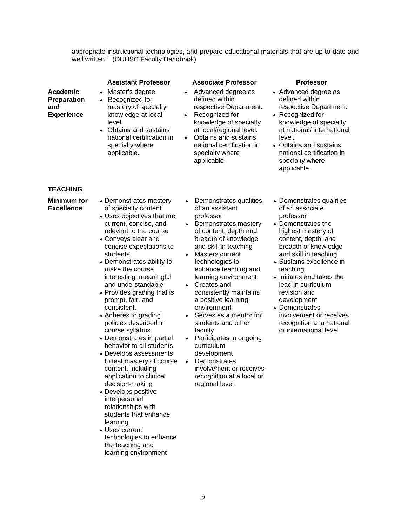appropriate instructional technologies, and prepare educational materials that are up-to-date and well written." (OUHSC Faculty Handbook)

|                                                                   | <b>Assistant Professor</b>                                                                                                                                                                                                                                                                                                                                                                                                                                                                                                                                                                                                                                                                                                                   |                                     | <b>Associate Professor</b>                                                                                                                                                                                                                                                                                                                                                                                                                                                                                                                 | <b>Professor</b>                                                                                                                                                                                                                                                                                                                                                                                           |
|-------------------------------------------------------------------|----------------------------------------------------------------------------------------------------------------------------------------------------------------------------------------------------------------------------------------------------------------------------------------------------------------------------------------------------------------------------------------------------------------------------------------------------------------------------------------------------------------------------------------------------------------------------------------------------------------------------------------------------------------------------------------------------------------------------------------------|-------------------------------------|--------------------------------------------------------------------------------------------------------------------------------------------------------------------------------------------------------------------------------------------------------------------------------------------------------------------------------------------------------------------------------------------------------------------------------------------------------------------------------------------------------------------------------------------|------------------------------------------------------------------------------------------------------------------------------------------------------------------------------------------------------------------------------------------------------------------------------------------------------------------------------------------------------------------------------------------------------------|
| <b>Academic</b><br><b>Preparation</b><br>and<br><b>Experience</b> | Master's degree<br>$\bullet$<br>Recognized for<br>$\bullet$<br>mastery of specialty<br>knowledge at local<br>level.<br>Obtains and sustains<br>$\bullet$<br>national certification in<br>specialty where<br>applicable.                                                                                                                                                                                                                                                                                                                                                                                                                                                                                                                      | $\bullet$<br>$\bullet$              | Advanced degree as<br>defined within<br>respective Department.<br>Recognized for<br>knowledge of specialty<br>at local/regional level.<br>Obtains and sustains<br>national certification in<br>specialty where<br>applicable.                                                                                                                                                                                                                                                                                                              | • Advanced degree as<br>defined within<br>respective Department.<br>• Recognized for<br>knowledge of specialty<br>at national/ international<br>level.<br>• Obtains and sustains<br>national certification in<br>specialty where<br>applicable.                                                                                                                                                            |
| <b>TEACHING</b>                                                   |                                                                                                                                                                                                                                                                                                                                                                                                                                                                                                                                                                                                                                                                                                                                              |                                     |                                                                                                                                                                                                                                                                                                                                                                                                                                                                                                                                            |                                                                                                                                                                                                                                                                                                                                                                                                            |
| <b>Minimum for</b><br><b>Excellence</b>                           | • Demonstrates mastery<br>of specialty content<br>• Uses objectives that are<br>current, concise, and<br>relevant to the course<br>• Conveys clear and<br>concise expectations to<br>students<br>• Demonstrates ability to<br>make the course<br>interesting, meaningful<br>and understandable<br>• Provides grading that is<br>prompt, fair, and<br>consistent.<br>• Adheres to grading<br>policies described in<br>course syllabus<br>• Demonstrates impartial<br>behavior to all students<br>• Develops assessments<br>to test mastery of course<br>content, including<br>application to clinical<br>decision-making<br>• Develops positive<br>interpersonal<br>relationships with<br>students that enhance<br>learning<br>• Uses current | $\bullet$<br>$\bullet$<br>$\bullet$ | Demonstrates qualities<br>of an assistant<br>professor<br>Demonstrates mastery<br>of content, depth and<br>breadth of knowledge<br>and skill in teaching<br>Masters current<br>technologies to<br>enhance teaching and<br>learning environment<br>Creates and<br>consistently maintains<br>a positive learning<br>environment<br>Serves as a mentor for<br>students and other<br>faculty<br>Participates in ongoing<br>curriculum<br>development<br>Demonstrates<br>involvement or receives<br>recognition at a local or<br>regional level | • Demonstrates qualities<br>of an associate<br>professor<br>• Demonstrates the<br>highest mastery of<br>content, depth, and<br>breadth of knowledge<br>and skill in teaching<br>• Sustains excellence in<br>teaching<br>• Initiates and takes the<br>lead in curriculum<br>revision and<br>development<br>• Demonstrates<br>involvement or receives<br>recognition at a national<br>or international level |

the teaching and learning environment

technologies to enhance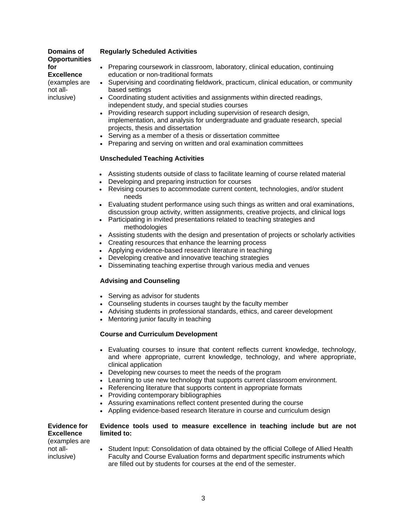#### **Domains of Opportunities for Excellence**

(examples are not allinclusive)

### **Regularly Scheduled Activities**

- Preparing coursework in classroom, laboratory, clinical education, continuing education or non-traditional formats
- Supervising and coordinating fieldwork, practicum, clinical education, or community based settings
	- Coordinating student activities and assignments within directed readings, independent study, and special studies courses
	- Providing research support including supervision of research design, implementation, and analysis for undergraduate and graduate research, special projects, thesis and dissertation
	- Serving as a member of a thesis or dissertation committee
	- Preparing and serving on written and oral examination committees

### **Unscheduled Teaching Activities**

- Assisting students outside of class to facilitate learning of course related material
- Developing and preparing instruction for courses
- Revising courses to accommodate current content, technologies, and/or student needs
- Evaluating student performance using such things as written and oral examinations, discussion group activity, written assignments, creative projects, and clinical logs
- Participating in invited presentations related to teaching strategies and methodologies
- Assisting students with the design and presentation of projects or scholarly activities
- Creating resources that enhance the learning process
- Applying evidence-based research literature in teaching
- Developing creative and innovative teaching strategies
- Disseminating teaching expertise through various media and venues

### **Advising and Counseling**

- Serving as advisor for students
- Counseling students in courses taught by the faculty member
- Advising students in professional standards, ethics, and career development
- Mentoring junior faculty in teaching

### **Course and Curriculum Development**

- Evaluating courses to insure that content reflects current knowledge, technology, and where appropriate, current knowledge, technology, and where appropriate, clinical application
- Developing new courses to meet the needs of the program
- Learning to use new technology that supports current classroom environment.
- Referencing literature that supports content in appropriate formats
- Providing contemporary bibliographies
- Assuring examinations reflect content presented during the course
- Appling evidence-based research literature in course and curriculum design

#### **Evidence for Evidence tools used to measure excellence in teaching include but are not limited to:**

**Excellence**  (examples are not allinclusive)

• Student Input: Consolidation of data obtained by the official College of Allied Health Faculty and Course Evaluation forms and department specific instruments which are filled out by students for courses at the end of the semester.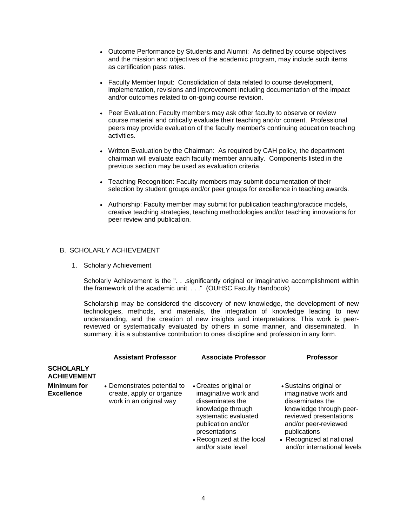- Outcome Performance by Students and Alumni: As defined by course objectives and the mission and objectives of the academic program, may include such items as certification pass rates.
- Faculty Member Input: Consolidation of data related to course development, implementation, revisions and improvement including documentation of the impact and/or outcomes related to on-going course revision.
- Peer Evaluation: Faculty members may ask other faculty to observe or review course material and critically evaluate their teaching and/or content. Professional peers may provide evaluation of the faculty member's continuing education teaching activities.
- Written Evaluation by the Chairman: As required by CAH policy, the department chairman will evaluate each faculty member annually. Components listed in the previous section may be used as evaluation criteria.
- Teaching Recognition: Faculty members may submit documentation of their selection by student groups and/or peer groups for excellence in teaching awards.
- Authorship: Faculty member may submit for publication teaching/practice models, creative teaching strategies, teaching methodologies and/or teaching innovations for peer review and publication.

### B. SCHOLARLY ACHIEVEMENT

1. Scholarly Achievement

Scholarly Achievement is the ". . . significantly original or imaginative accomplishment within the framework of the academic unit. . . ." (OUHSC Faculty Handbook)

Scholarship may be considered the discovery of new knowledge, the development of new technologies, methods, and materials, the integration of knowledge leading to new understanding, and the creation of new insights and interpretations. This work is peerreviewed or systematically evaluated by others in some manner, and disseminated. In summary, it is a substantive contribution to ones discipline and profession in any form.

|                                        | <b>Assistant Professor</b>                                                          | <b>Associate Professor</b>                                                                                                                                                                               | <b>Professor</b>                                                                                                                                                                                                           |
|----------------------------------------|-------------------------------------------------------------------------------------|----------------------------------------------------------------------------------------------------------------------------------------------------------------------------------------------------------|----------------------------------------------------------------------------------------------------------------------------------------------------------------------------------------------------------------------------|
| <b>SCHOLARLY</b><br><b>ACHIEVEMENT</b> |                                                                                     |                                                                                                                                                                                                          |                                                                                                                                                                                                                            |
| Minimum for<br>Excellence              | • Demonstrates potential to<br>create, apply or organize<br>work in an original way | • Creates original or<br>imaginative work and<br>disseminates the<br>knowledge through<br>systematic evaluated<br>publication and/or<br>presentations<br>• Recognized at the local<br>and/or state level | • Sustains original or<br>imaginative work and<br>disseminates the<br>knowledge through peer-<br>reviewed presentations<br>and/or peer-reviewed<br>publications<br>• Recognized at national<br>and/or international levels |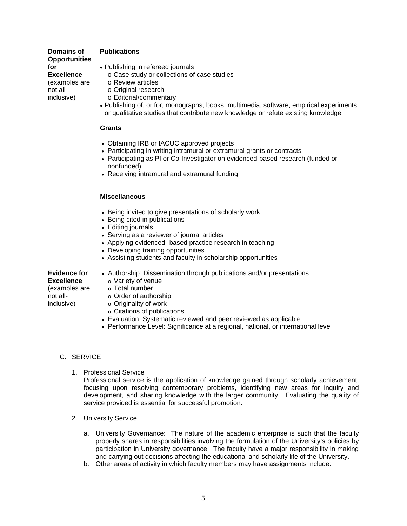### **Domains of Opportunities for Excellence**  (examples are not allinclusive)

### **Publications**

- Publishing in refereed journals
	- o Case study or collections of case studies
	- o Review articles
	- o Original research
	- o Editorial/commentary
- Publishing of, or for, monographs, books, multimedia, software, empirical experiments or qualitative studies that contribute new knowledge or refute existing knowledge

### **Grants**

- Obtaining IRB or IACUC approved projects
- Participating in writing intramural or extramural grants or contracts
- Participating as PI or Co-Investigator on evidenced-based research (funded or nonfunded)
- Receiving intramural and extramural funding

### **Miscellaneous**

- Being invited to give presentations of scholarly work
- Being cited in publications
- Editing journals
- Serving as a reviewer of journal articles
- Applying evidenced- based practice research in teaching
- Developing training opportunities
- Assisting students and faculty in scholarship opportunities

#### **Evidence for Excellence**  (examples are not allinclusive)

- Authorship: Dissemination through publications and/or presentations
	- o Variety of venue
- o Total number
- o Order of authorship
- o Originality of work
- o Citations of publications
- Evaluation: Systematic reviewed and peer reviewed as applicable
- Performance Level: Significance at a regional, national, or international level

### C. SERVICE

1. Professional Service

Professional service is the application of knowledge gained through scholarly achievement, focusing upon resolving contemporary problems, identifying new areas for inquiry and development, and sharing knowledge with the larger community. Evaluating the quality of service provided is essential for successful promotion.

- 2. University Service
	- a. University Governance: The nature of the academic enterprise is such that the faculty properly shares in responsibilities involving the formulation of the University's policies by participation in University governance. The faculty have a major responsibility in making and carrying out decisions affecting the educational and scholarly life of the University.
	- b. Other areas of activity in which faculty members may have assignments include: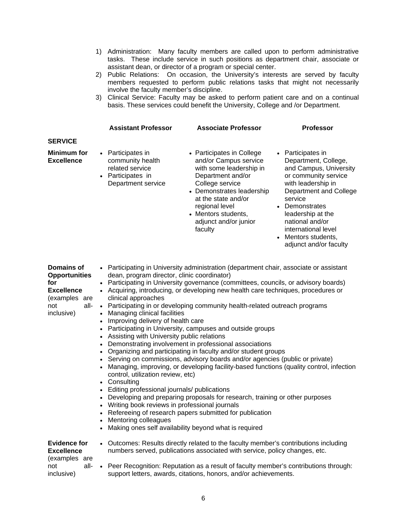- 1) Administration: Many faculty members are called upon to perform administrative tasks. These include service in such positions as department chair, associate or assistant dean, or director of a program or special center.
- 2) Public Relations: On occasion, the University's interests are served by faculty members requested to perform public relations tasks that might not necessarily involve the faculty member's discipline.
- 3) Clinical Service: Faculty may be asked to perform patient care and on a continual basis. These services could benefit the University, College and /or Department.

|                                  | <b>Assistant Professor</b>                                                                          | <b>Associate Professor</b>                                                                                                                                                                                                                             | <b>Professor</b>                                                                                                                                                                                                                                                                         |
|----------------------------------|-----------------------------------------------------------------------------------------------------|--------------------------------------------------------------------------------------------------------------------------------------------------------------------------------------------------------------------------------------------------------|------------------------------------------------------------------------------------------------------------------------------------------------------------------------------------------------------------------------------------------------------------------------------------------|
| <b>SERVICE</b>                   |                                                                                                     |                                                                                                                                                                                                                                                        |                                                                                                                                                                                                                                                                                          |
| Minimum for<br><b>Excellence</b> | • Participates in<br>community health<br>related service<br>• Participates in<br>Department service | • Participates in College<br>and/or Campus service<br>with some leadership in<br>Department and/or<br>College service<br>• Demonstrates leadership<br>at the state and/or<br>regional level<br>• Mentors students,<br>adjunct and/or junior<br>faculty | • Participates in<br>Department, College,<br>and Campus, University<br>or community service<br>with leadership in<br>Department and College<br>service<br>• Demonstrates<br>leadership at the<br>national and/or<br>international level<br>• Mentors students,<br>adjunct and/or faculty |

| Domains of<br><b>Opportunities</b><br>for<br><b>Excellence</b><br>(examples are<br>all-<br>not<br>inclusive) | • Participating in University administration (department chair, associate or assistant<br>dean, program director, clinic coordinator)<br>• Participating in University governance (committees, councils, or advisory boards)<br>• Acquiring, introducing, or developing new health care techniques, procedures or<br>clinical approaches<br>• Participating in or developing community health-related outreach programs<br>• Managing clinical facilities<br>• Improving delivery of health care<br>• Participating in University, campuses and outside groups<br>• Assisting with University public relations<br>• Demonstrating involvement in professional associations<br>• Organizing and participating in faculty and/or student groups<br>• Serving on commissions, advisory boards and/or agencies (public or private)<br>Managing, improving, or developing facility-based functions (quality control, infection<br>control, utilization review, etc)<br>• Consulting<br>• Editing professional journals/ publications<br>• Developing and preparing proposals for research, training or other purposes<br>• Writing book reviews in professional journals<br>• Refereeing of research papers submitted for publication<br>• Mentoring colleagues<br>Making ones self availability beyond what is required |
|--------------------------------------------------------------------------------------------------------------|---------------------------------------------------------------------------------------------------------------------------------------------------------------------------------------------------------------------------------------------------------------------------------------------------------------------------------------------------------------------------------------------------------------------------------------------------------------------------------------------------------------------------------------------------------------------------------------------------------------------------------------------------------------------------------------------------------------------------------------------------------------------------------------------------------------------------------------------------------------------------------------------------------------------------------------------------------------------------------------------------------------------------------------------------------------------------------------------------------------------------------------------------------------------------------------------------------------------------------------------------------------------------------------------------------------------|
| <b>Evidence for</b><br><b>Excellence</b>                                                                     | • Outcomes: Results directly related to the faculty member's contributions including<br>numbers served, publications associated with service, policy changes, etc.                                                                                                                                                                                                                                                                                                                                                                                                                                                                                                                                                                                                                                                                                                                                                                                                                                                                                                                                                                                                                                                                                                                                                  |
| (examples are<br>all-<br>not<br>inclusive)                                                                   | • Peer Recognition: Reputation as a result of faculty member's contributions through:<br>support letters, awards, citations, honors, and/or achievements.                                                                                                                                                                                                                                                                                                                                                                                                                                                                                                                                                                                                                                                                                                                                                                                                                                                                                                                                                                                                                                                                                                                                                           |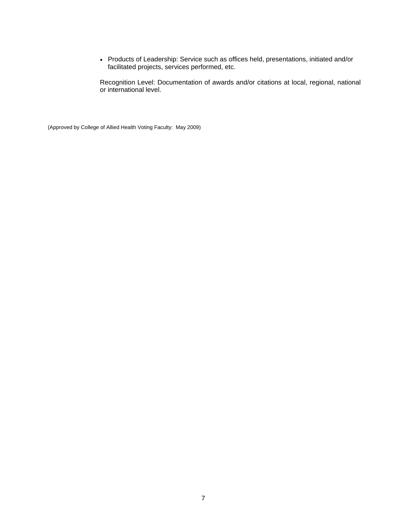• Products of Leadership: Service such as offices held, presentations, initiated and/or facilitated projects, services performed, etc.

Recognition Level: Documentation of awards and/or citations at local, regional, national or international level.

(Approved by College of Allied Health Voting Faculty: May 2009)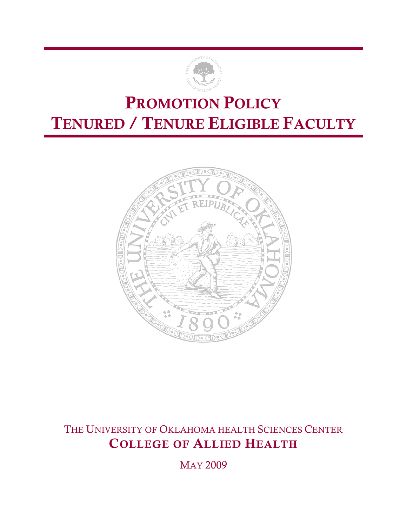

### PROMOTION POLICY TENURED / TENURE ELIGIBLE FACULTY



### THE UNIVERSITY OF OKLAHOMA HEALTH SCIENCES CENTER COLLEGE OF ALLIED HEALTH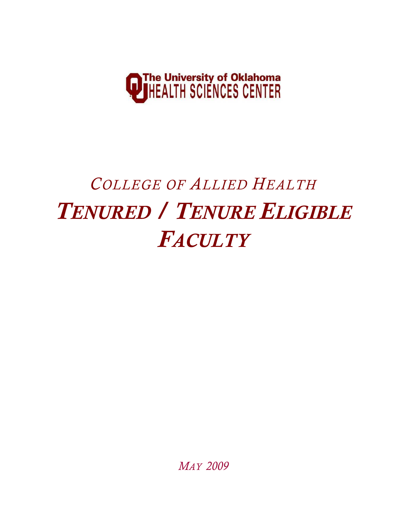

# *COLLEGE OF ALLIED HEALTH TENURED / TENURE ELIGIBLE FACULTY*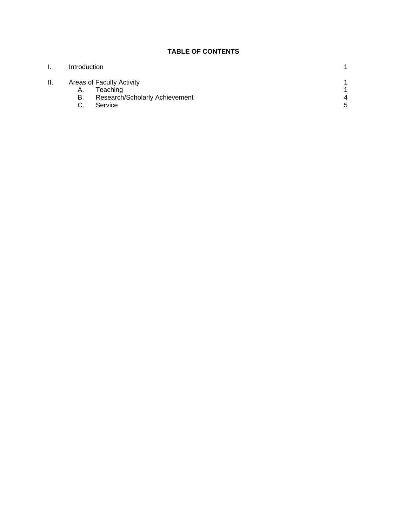### **TABLE OF CONTENTS**

| ι. | Introduction |                                       |   |
|----|--------------|---------------------------------------|---|
| Ш. | А.           | Areas of Faculty Activity<br>Teaching |   |
|    | В.           | Research/Scholarly Achievement        | 4 |
|    |              | Service                               | 5 |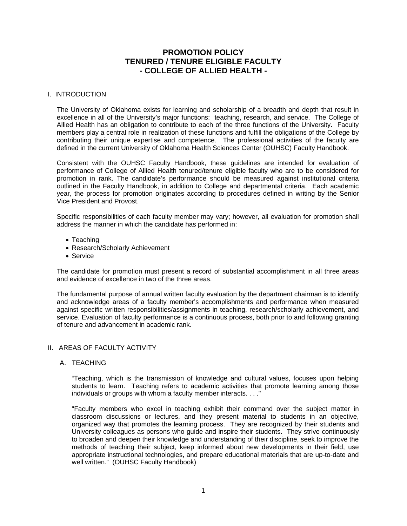### **PROMOTION POLICY TENURED / TENURE ELIGIBLE FACULTY - COLLEGE OF ALLIED HEALTH -**

### I. INTRODUCTION

The University of Oklahoma exists for learning and scholarship of a breadth and depth that result in excellence in all of the University's major functions: teaching, research, and service. The College of Allied Health has an obligation to contribute to each of the three functions of the University. Faculty members play a central role in realization of these functions and fulfill the obligations of the College by contributing their unique expertise and competence. The professional activities of the faculty are defined in the current University of Oklahoma Health Sciences Center (OUHSC) Faculty Handbook.

Consistent with the OUHSC Faculty Handbook, these guidelines are intended for evaluation of performance of College of Allied Health tenured/tenure eligible faculty who are to be considered for promotion in rank. The candidate's performance should be measured against institutional criteria outlined in the Faculty Handbook, in addition to College and departmental criteria. Each academic year, the process for promotion originates according to procedures defined in writing by the Senior Vice President and Provost.

Specific responsibilities of each faculty member may vary; however, all evaluation for promotion shall address the manner in which the candidate has performed in:

- Teaching
- Research/Scholarly Achievement
- Service

The candidate for promotion must present a record of substantial accomplishment in all three areas and evidence of excellence in two of the three areas.

The fundamental purpose of annual written faculty evaluation by the department chairman is to identify and acknowledge areas of a faculty member's accomplishments and performance when measured against specific written responsibilities/assignments in teaching, research/scholarly achievement, and service. Evaluation of faculty performance is a continuous process, both prior to and following granting of tenure and advancement in academic rank.

### II. AREAS OF FACULTY ACTIVITY

A. TEACHING

 "Teaching, which is the transmission of knowledge and cultural values, focuses upon helping students to learn. Teaching refers to academic activities that promote learning among those individuals or groups with whom a faculty member interacts. . . ."

"Faculty members who excel in teaching exhibit their command over the subject matter in classroom discussions or lectures, and they present material to students in an objective, organized way that promotes the learning process. They are recognized by their students and University colleagues as persons who guide and inspire their students. They strive continuously to broaden and deepen their knowledge and understanding of their discipline, seek to improve the methods of teaching their subject, keep informed about new developments in their field, use appropriate instructional technologies, and prepare educational materials that are up-to-date and well written." (OUHSC Faculty Handbook)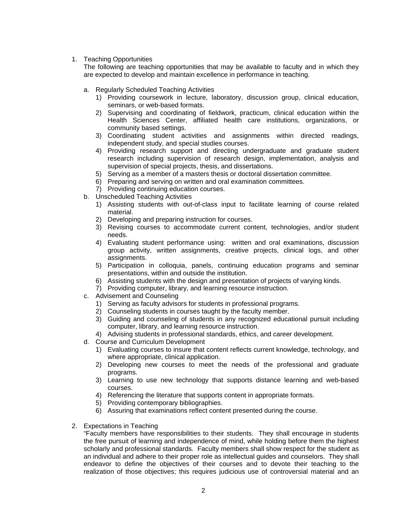1. Teaching Opportunities

 The following are teaching opportunities that may be available to faculty and in which they are expected to develop and maintain excellence in performance in teaching.

- a. Regularly Scheduled Teaching Activities
	- 1) Providing coursework in lecture, laboratory, discussion group, clinical education, seminars, or web-based formats.
	- 2) Supervising and coordinating of fieldwork, practicum, clinical education within the Health Sciences Center, affiliated health care institutions, organizations, or community based settings.
	- 3) Coordinating student activities and assignments within directed readings, independent study, and special studies courses.
	- 4) Providing research support and directing undergraduate and graduate student research including supervision of research design, implementation, analysis and supervision of special projects, thesis, and dissertations.
	- 5) Serving as a member of a masters thesis or doctoral dissertation committee.
	- 6) Preparing and serving on written and oral examination committees.
	- 7) Providing continuing education courses.
- b. Unscheduled Teaching Activities
	- 1) Assisting students with out-of-class input to facilitate learning of course related material.
	- 2) Developing and preparing instruction for courses.
	- 3) Revising courses to accommodate current content, technologies, and/or student needs.
	- 4) Evaluating student performance using: written and oral examinations, discussion group activity, written assignments, creative projects, clinical logs, and other assignments.
	- 5) Participation in colloquia, panels, continuing education programs and seminar presentations, within and outside the institution.
	- 6) Assisting students with the design and presentation of projects of varying kinds.
	- 7) Providing computer, library, and learning resource instruction.
- c. Advisement and Counseling
	- 1) Serving as faculty advisors for students in professional programs.
	- 2) Counseling students in courses taught by the faculty member.
	- 3) Guiding and counseling of students in any recognized educational pursuit including computer, library, and learning resource instruction.
	- 4) Advising students in professional standards, ethics, and career development.
- d. Course and Curriculum Development
	- 1) Evaluating courses to insure that content reflects current knowledge, technology, and where appropriate, clinical application.
	- 2) Developing new courses to meet the needs of the professional and graduate programs.
	- 3) Learning to use new technology that supports distance learning and web-based courses.
	- 4) Referencing the literature that supports content in appropriate formats.
	- 5) Providing contemporary bibliographies.
	- 6) Assuring that examinations reflect content presented during the course.
- 2. Expectations in Teaching

"Faculty members have responsibilities to their students. They shall encourage in students the free pursuit of learning and independence of mind, while holding before them the highest scholarly and professional standards. Faculty members shall show respect for the student as an individual and adhere to their proper role as intellectual guides and counselors. They shall endeavor to define the objectives of their courses and to devote their teaching to the realization of those objectives; this requires judicious use of controversial material and an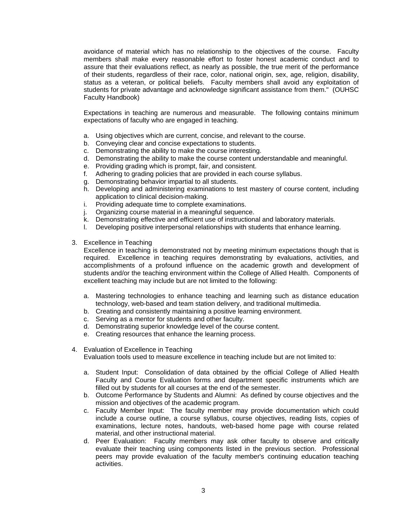avoidance of material which has no relationship to the objectives of the course. Faculty members shall make every reasonable effort to foster honest academic conduct and to assure that their evaluations reflect, as nearly as possible, the true merit of the performance of their students, regardless of their race, color, national origin, sex, age, religion, disability, status as a veteran, or political beliefs. Faculty members shall avoid any exploitation of students for private advantage and acknowledge significant assistance from them." (OUHSC Faculty Handbook)

Expectations in teaching are numerous and measurable. The following contains minimum expectations of faculty who are engaged in teaching.

- a. Using objectives which are current, concise, and relevant to the course.
- b. Conveying clear and concise expectations to students.
- c. Demonstrating the ability to make the course interesting.
- d. Demonstrating the ability to make the course content understandable and meaningful.
- e. Providing grading which is prompt, fair, and consistent.
- f. Adhering to grading policies that are provided in each course syllabus.
- g. Demonstrating behavior impartial to all students.
- h. Developing and administering examinations to test mastery of course content, including application to clinical decision-making.
- i. Providing adequate time to complete examinations.
- j. Organizing course material in a meaningful sequence.
- k. Demonstrating effective and efficient use of instructional and laboratory materials.<br>I. Developing positive interpersonal relationships with students that enhance learning
- Developing positive interpersonal relationships with students that enhance learning.
- 3. Excellence in Teaching

Excellence in teaching is demonstrated not by meeting minimum expectations though that is required. Excellence in teaching requires demonstrating by evaluations, activities, and accomplishments of a profound influence on the academic growth and development of students and/or the teaching environment within the College of Allied Health. Components of excellent teaching may include but are not limited to the following:

- a. Mastering technologies to enhance teaching and learning such as distance education technology, web-based and team station delivery, and traditional multimedia.
- b. Creating and consistently maintaining a positive learning environment.
- c. Serving as a mentor for students and other faculty.
- d. Demonstrating superior knowledge level of the course content.
- e. Creating resources that enhance the learning process.
- 4. Evaluation of Excellence in Teaching

Evaluation tools used to measure excellence in teaching include but are not limited to:

- a. Student Input: Consolidation of data obtained by the official College of Allied Health Faculty and Course Evaluation forms and department specific instruments which are filled out by students for all courses at the end of the semester.
- b. Outcome Performance by Students and Alumni: As defined by course objectives and the mission and objectives of the academic program.
- c. Faculty Member Input: The faculty member may provide documentation which could include a course outline, a course syllabus, course objectives, reading lists, copies of examinations, lecture notes, handouts, web-based home page with course related material, and other instructional material.
- d. Peer Evaluation: Faculty members may ask other faculty to observe and critically evaluate their teaching using components listed in the previous section. Professional peers may provide evaluation of the faculty member's continuing education teaching activities.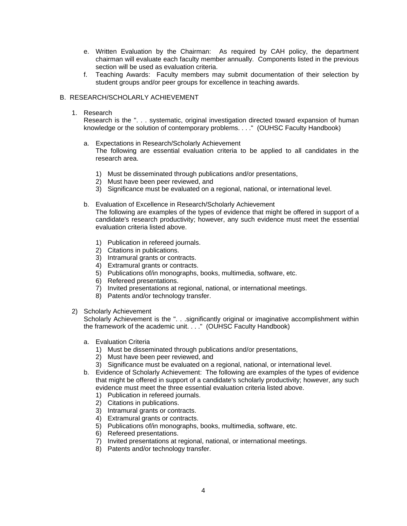- e. Written Evaluation by the Chairman: As required by CAH policy, the department chairman will evaluate each faculty member annually. Components listed in the previous section will be used as evaluation criteria.
- f. Teaching Awards: Faculty members may submit documentation of their selection by student groups and/or peer groups for excellence in teaching awards.

### B. RESEARCH/SCHOLARLY ACHIEVEMENT

1. Research

Research is the ". . . systematic, original investigation directed toward expansion of human knowledge or the solution of contemporary problems. . . ." (OUHSC Faculty Handbook)

- a. Expectations in Research/Scholarly Achievement The following are essential evaluation criteria to be applied to all candidates in the research area.
	- 1) Must be disseminated through publications and/or presentations,
	- 2) Must have been peer reviewed, and
	- 3) Significance must be evaluated on a regional, national, or international level.
- b. Evaluation of Excellence in Research/Scholarly Achievement The following are examples of the types of evidence that might be offered in support of a candidate's research productivity; however, any such evidence must meet the essential evaluation criteria listed above.
	- 1) Publication in refereed journals.
	- 2) Citations in publications.
	- 3) Intramural grants or contracts.
	- 4) Extramural grants or contracts.
	- 5) Publications of/in monographs, books, multimedia, software, etc.
	- 6) Refereed presentations.
	- 7) Invited presentations at regional, national, or international meetings.
	- 8) Patents and/or technology transfer.
- 2) Scholarly Achievement

Scholarly Achievement is the ". . . significantly original or imaginative accomplishment within the framework of the academic unit. . . ." (OUHSC Faculty Handbook)

- a. Evaluation Criteria
	- 1) Must be disseminated through publications and/or presentations,
	- 2) Must have been peer reviewed, and
	- 3) Significance must be evaluated on a regional, national, or international level.
- b. Evidence of Scholarly Achievement: The following are examples of the types of evidence that might be offered in support of a candidate's scholarly productivity; however, any such evidence must meet the three essential evaluation criteria listed above.
	- 1) Publication in refereed journals.
	- 2) Citations in publications.
	- 3) Intramural grants or contracts.
	- 4) Extramural grants or contracts.
	- 5) Publications of/in monographs, books, multimedia, software, etc.
	- 6) Refereed presentations.
	- 7) Invited presentations at regional, national, or international meetings.
	- 8) Patents and/or technology transfer.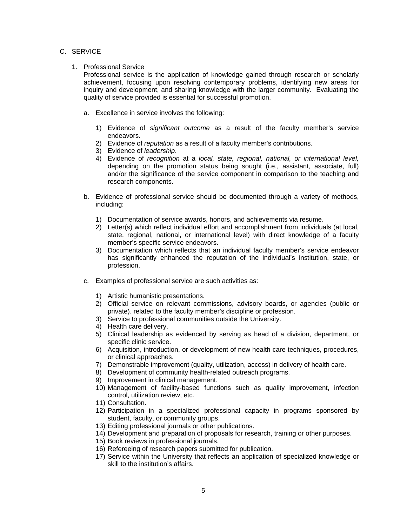### C. SERVICE

### 1. Professional Service

Professional service is the application of knowledge gained through research or scholarly achievement, focusing upon resolving contemporary problems, identifying new areas for inquiry and development, and sharing knowledge with the larger community. Evaluating the quality of service provided is essential for successful promotion.

- a. Excellence in service involves the following:
	- 1) Evidence of *significant outcome* as a result of the faculty member's service endeavors.
	- 2) Evidence of *reputation* as a result of a faculty member's contributions.
	- 3) Evidence of *leadership*.
	- 4) Evidence of *recognition* at a *local, state, regional, national, or international level,* depending on the promotion status being sought (i.e., assistant, associate, full) and/or the significance of the service component in comparison to the teaching and research components.
- b. Evidence of professional service should be documented through a variety of methods, including:
	- 1) Documentation of service awards, honors, and achievements via resume.
	- 2) Letter(s) which reflect individual effort and accomplishment from individuals (at local, state, regional, national, or international level) with direct knowledge of a faculty member's specific service endeavors.
	- 3) Documentation which reflects that an individual faculty member's service endeavor has significantly enhanced the reputation of the individual's institution, state, or profession.
- c. Examples of professional service are such activities as:
	- 1) Artistic humanistic presentations.
	- 2) Official service on relevant commissions, advisory boards, or agencies (public or private). related to the faculty member's discipline or profession.
	- 3) Service to professional communities outside the University.
	- 4) Health care delivery.
	- 5) Clinical leadership as evidenced by serving as head of a division, department, or specific clinic service.
	- 6) Acquisition, introduction, or development of new health care techniques, procedures, or clinical approaches.
	- 7) Demonstrable improvement (quality, utilization, access) in delivery of health care.
	- 8) Development of community health-related outreach programs.
	- 9) Improvement in clinical management.
	- 10) Management of facility-based functions such as quality improvement, infection control, utilization review, etc.
	- 11) Consultation.
	- 12) Participation in a specialized professional capacity in programs sponsored by student, faculty, or community groups.
	- 13) Editing professional journals or other publications.
	- 14) Development and preparation of proposals for research, training or other purposes.
	- 15) Book reviews in professional journals.
	- 16) Refereeing of research papers submitted for publication.
	- 17) Service within the University that reflects an application of specialized knowledge or skill to the institution's affairs.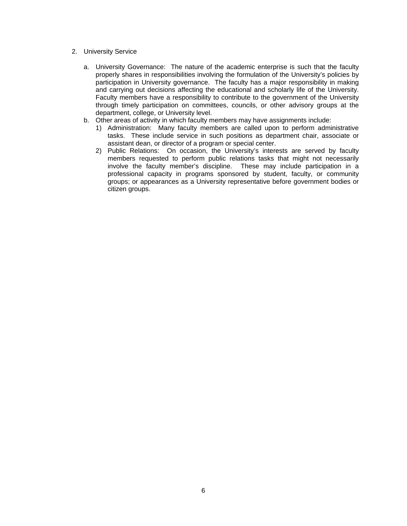### 2. University Service

- a. University Governance: The nature of the academic enterprise is such that the faculty properly shares in responsibilities involving the formulation of the University's policies by participation in University governance. The faculty has a major responsibility in making and carrying out decisions affecting the educational and scholarly life of the University. Faculty members have a responsibility to contribute to the government of the University through timely participation on committees, councils, or other advisory groups at the department, college, or University level.
- b. Other areas of activity in which faculty members may have assignments include:
	- 1) Administration: Many faculty members are called upon to perform administrative tasks. These include service in such positions as department chair, associate or assistant dean, or director of a program or special center.
	- 2) Public Relations: On occasion, the University's interests are served by faculty members requested to perform public relations tasks that might not necessarily involve the faculty member's discipline. These may include participation in a professional capacity in programs sponsored by student, faculty, or community groups; or appearances as a University representative before government bodies or citizen groups.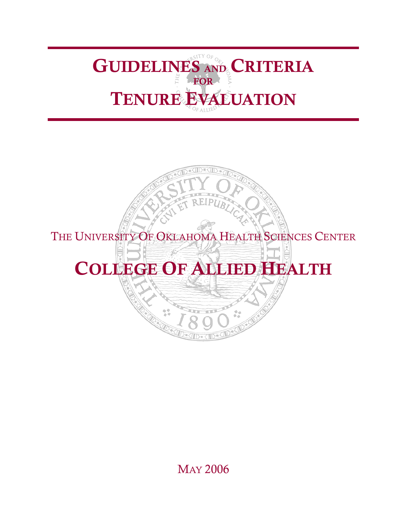## GUIDELINES AND CRITERIA FOR **FOR** TENURE EVALUATION

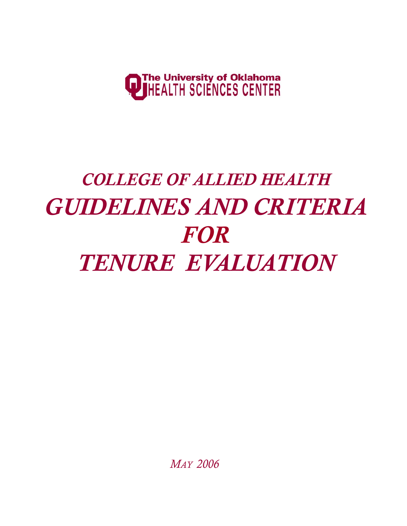

# *COLLEGE OF ALLIED HEALTH GUIDELINES AND CRITERIA FOR TENURE EVALUATION*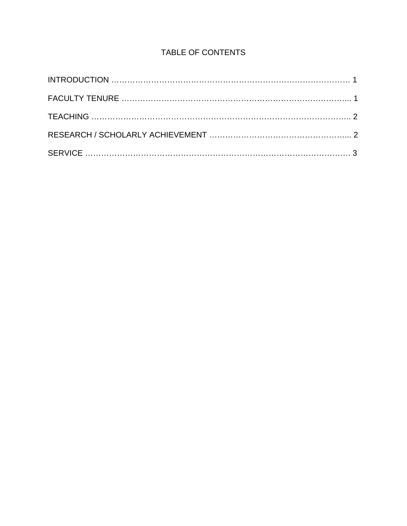### TABLE OF CONTENTS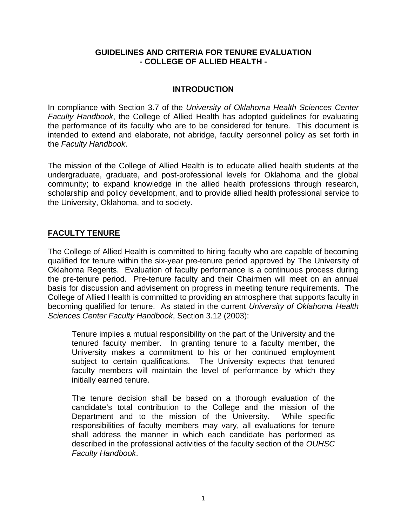### **GUIDELINES AND CRITERIA FOR TENURE EVALUATION - COLLEGE OF ALLIED HEALTH -**

### **INTRODUCTION**

In compliance with Section 3.7 of the *University of Oklahoma Health Sciences Center Faculty Handbook*, the College of Allied Health has adopted guidelines for evaluating the performance of its faculty who are to be considered for tenure. This document is intended to extend and elaborate, not abridge, faculty personnel policy as set forth in the *Faculty Handbook*.

The mission of the College of Allied Health is to educate allied health students at the undergraduate, graduate, and post-professional levels for Oklahoma and the global community; to expand knowledge in the allied health professions through research, scholarship and policy development, and to provide allied health professional service to the University, Oklahoma, and to society.

### **FACULTY TENURE**

The College of Allied Health is committed to hiring faculty who are capable of becoming qualified for tenure within the six-year pre-tenure period approved by The University of Oklahoma Regents. Evaluation of faculty performance is a continuous process during the pre-tenure period. Pre-tenure faculty and their Chairmen will meet on an annual basis for discussion and advisement on progress in meeting tenure requirements. The College of Allied Health is committed to providing an atmosphere that supports faculty in becoming qualified for tenure. As stated in the current *University of Oklahoma Health Sciences Center Faculty Handbook*, Section 3.12 (2003):

Tenure implies a mutual responsibility on the part of the University and the tenured faculty member. In granting tenure to a faculty member, the University makes a commitment to his or her continued employment subject to certain qualifications. The University expects that tenured faculty members will maintain the level of performance by which they initially earned tenure.

The tenure decision shall be based on a thorough evaluation of the candidate's total contribution to the College and the mission of the Department and to the mission of the University. While specific responsibilities of faculty members may vary, all evaluations for tenure shall address the manner in which each candidate has performed as described in the professional activities of the faculty section of the *OUHSC Faculty Handbook*.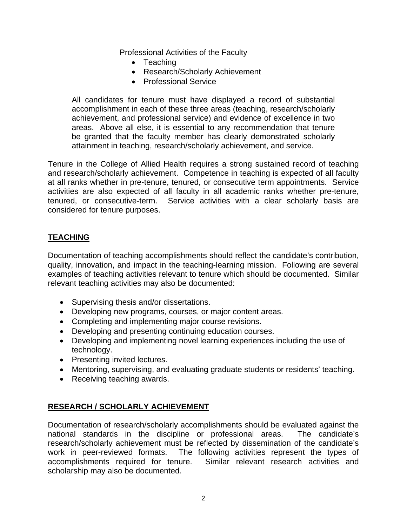Professional Activities of the Faculty

- Teaching
- Research/Scholarly Achievement
- Professional Service

All candidates for tenure must have displayed a record of substantial accomplishment in each of these three areas (teaching, research/scholarly achievement, and professional service) and evidence of excellence in two areas. Above all else, it is essential to any recommendation that tenure be granted that the faculty member has clearly demonstrated scholarly attainment in teaching, research/scholarly achievement, and service.

Tenure in the College of Allied Health requires a strong sustained record of teaching and research/scholarly achievement. Competence in teaching is expected of all faculty at all ranks whether in pre-tenure, tenured, or consecutive term appointments. Service activities are also expected of all faculty in all academic ranks whether pre-tenure, tenured, or consecutive-term. Service activities with a clear scholarly basis are considered for tenure purposes.

### **TEACHING**

Documentation of teaching accomplishments should reflect the candidate's contribution, quality, innovation, and impact in the teaching-learning mission. Following are several examples of teaching activities relevant to tenure which should be documented. Similar relevant teaching activities may also be documented:

- Supervising thesis and/or dissertations.
- Developing new programs, courses, or major content areas.
- Completing and implementing major course revisions.
- Developing and presenting continuing education courses.
- Developing and implementing novel learning experiences including the use of technology.
- Presenting invited lectures.
- Mentoring, supervising, and evaluating graduate students or residents' teaching.
- Receiving teaching awards.

### **RESEARCH / SCHOLARLY ACHIEVEMENT**

Documentation of research/scholarly accomplishments should be evaluated against the national standards in the discipline or professional areas. The candidate's research/scholarly achievement must be reflected by dissemination of the candidate's work in peer-reviewed formats. The following activities represent the types of accomplishments required for tenure. Similar relevant research activities and scholarship may also be documented.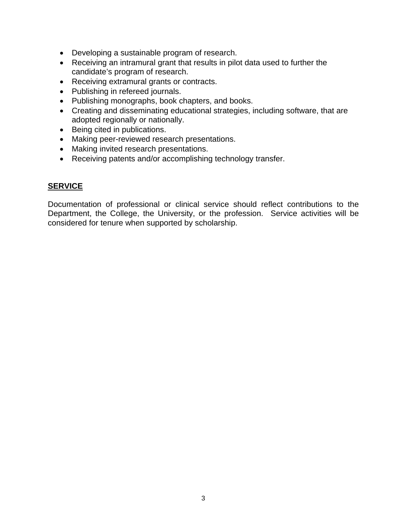- Developing a sustainable program of research.
- Receiving an intramural grant that results in pilot data used to further the candidate's program of research.
- Receiving extramural grants or contracts.
- Publishing in refereed journals.
- Publishing monographs, book chapters, and books.
- Creating and disseminating educational strategies, including software, that are adopted regionally or nationally.
- Being cited in publications.
- Making peer-reviewed research presentations.
- Making invited research presentations.
- Receiving patents and/or accomplishing technology transfer.

### **SERVICE**

Documentation of professional or clinical service should reflect contributions to the Department, the College, the University, or the profession. Service activities will be considered for tenure when supported by scholarship.